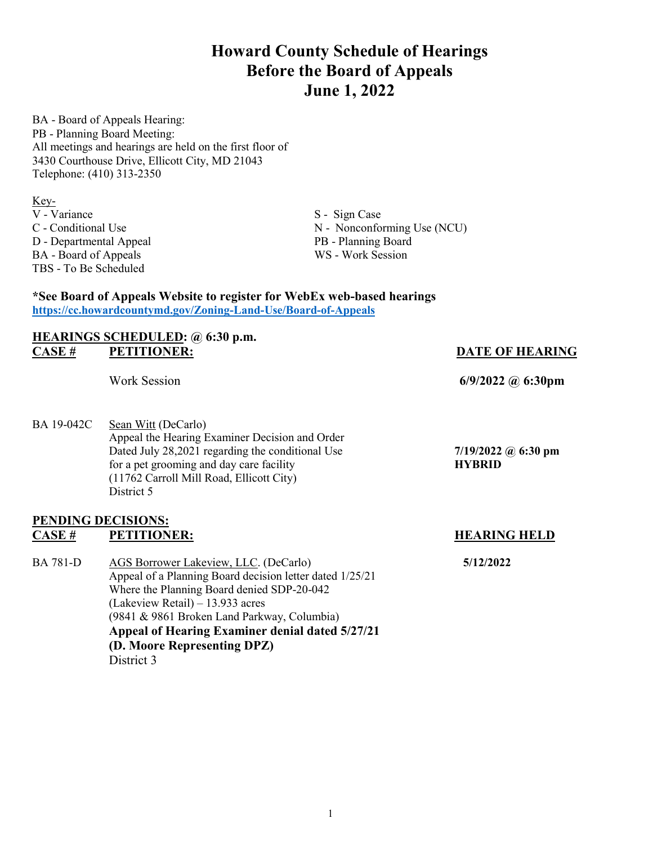# **Howard County Schedule of Hearings Before the Board of Appeals June 1, 2022**

BA - Board of Appeals Hearing: PB - Planning Board Meeting: All meetings and hearings are held on the first floor of 3430 Courthouse Drive, Ellicott City, MD 21043 Telephone: (410) 313-2350

Key-<br>V - Variance D - Departmental Appeal TBS - To Be Scheduled

BA - Board of Appeals WS - Work Session

S - Sign Case C - Conditional Use <br>
D - Departmental Appeal<br>
PB - Planning Board<br>
PB - Planning Board

### **\*See Board of Appeals Website to register for WebEx web-based hearings <https://cc.howardcountymd.gov/Zoning-Land-Use/Board-of-Appeals>**

### **HEARINGS SCHEDULED: @ 6:30 p.m. CASE # PETITIONER: DATE OF HEARING**

BA 19-042C Sean Witt (DeCarlo) Appeal the Hearing Examiner Decision and Order Dated July 28,2021 regarding the conditional Use **7/19/2022 @ 6:30 pm** for a pet grooming and day care facility **HYBRID** (11762 Carroll Mill Road, Ellicott City) District 5

### **PENDING DECISIONS: CASE # PETITIONER: HEARING HELD**

BA 781-D AGS Borrower Lakeview, LLC. (DeCarlo) **5/12/2022**  Appeal of a Planning Board decision letter dated 1/25/21 Where the Planning Board denied SDP-20-042 (Lakeview Retail) – 13.933 acres (9841 & 9861 Broken Land Parkway, Columbia)  **Appeal of Hearing Examiner denial dated 5/27/21 (D. Moore Representing DPZ)** District 3

Work Session **6/9/2022 @ 6:30pm**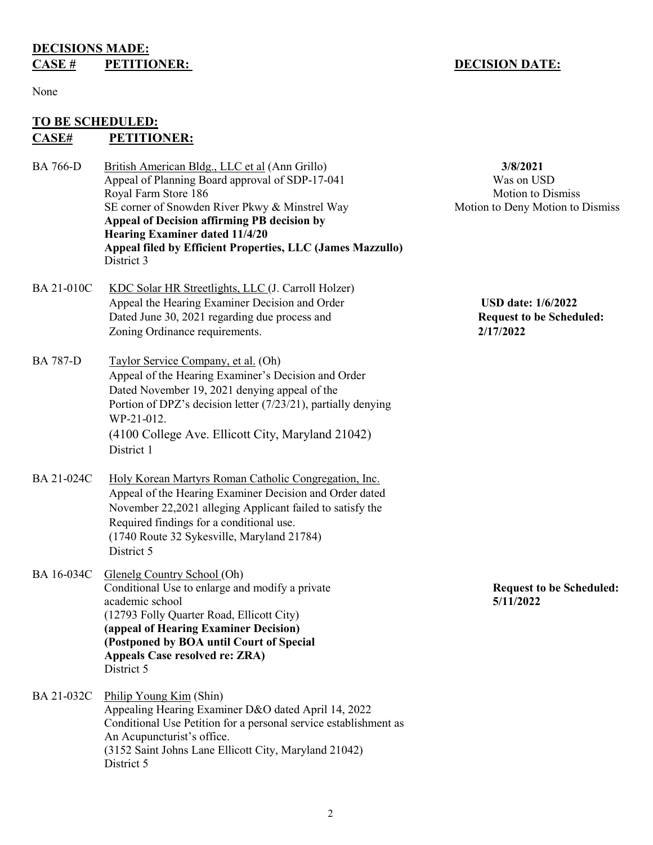### **DECISIONS MADE: CASE # PETITIONER:** DECISION DATE:

### None

### **TO BE SCHEDULED: CASE# PETITIONER:**

- BA 766-D British American Bldg., LLC et al (Ann Grillo) **3/8/2021** Appeal of Planning Board approval of SDP-17-041 Was on USD Royal Farm Store 186 Motion to Dismiss SE corner of Snowden River Pkwy & Minstrel Way Motion to Deny Motion to Dismiss **Appeal of Decision affirming PB decision by Hearing Examiner dated 11/4/20 Appeal filed by Efficient Properties, LLC (James Mazzullo)**  District 3
- BA 21-010C KDC Solar HR Streetlights, LLC (J. Carroll Holzer) Appeal the Hearing Examiner Decision and Order **USD date: 1/6/2022**  Dated June 30, 2021 regarding due process and **Request to be Scheduled:** Zoning Ordinance requirements. **2/17/2022**
- BA 787-D Taylor Service Company, et al. (Oh) Appeal of the Hearing Examiner's Decision and Order Dated November 19, 2021 denying appeal of the Portion of DPZ's decision letter (7/23/21), partially denying WP-21-012. (4100 College Ave. Ellicott City, Maryland 21042) District 1
- BA 21-024C Holy Korean Martyrs Roman Catholic Congregation, Inc. Appeal of the Hearing Examiner Decision and Order dated November 22,2021 alleging Applicant failed to satisfy the Required findings for a conditional use. (1740 Route 32 Sykesville, Maryland 21784) District 5
- BA 16-034C Glenelg Country School (Oh) Conditional Use to enlarge and modify a private **Request to be Scheduled:** academic school **5/11/2022** (12793 Folly Quarter Road, Ellicott City) **(appeal of Hearing Examiner Decision) (Postponed by BOA until Court of Special Appeals Case resolved re: ZRA)** District 5
- BA 21-032C Philip Young Kim (Shin) Appealing Hearing Examiner D&O dated April 14, 2022 Conditional Use Petition for a personal service establishment as An Acupuncturist's office. (3152 Saint Johns Lane Ellicott City, Maryland 21042) District 5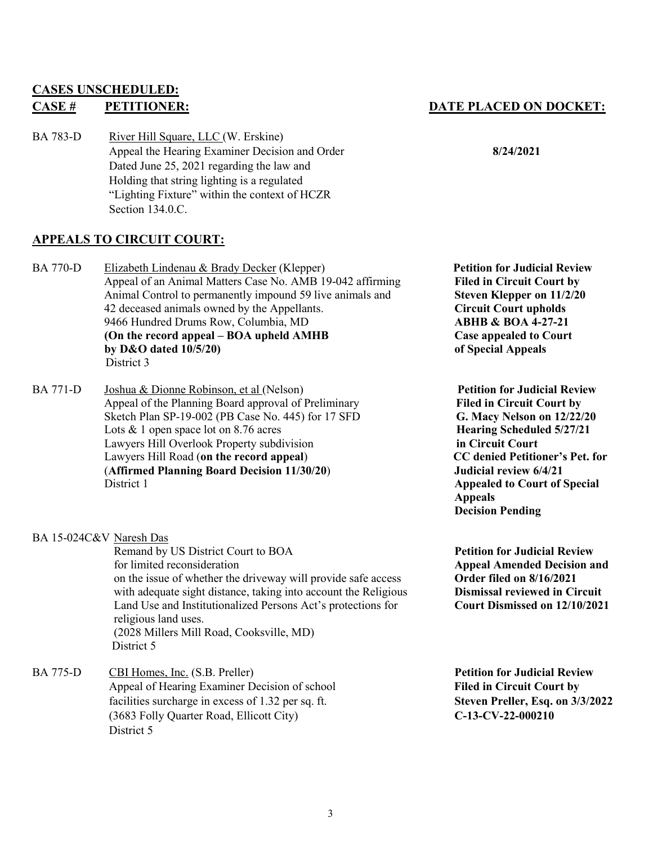# **CASES UNSCHEDULED:**

BA 783-D River Hill Square, LLC (W. Erskine) Appeal the Hearing Examiner Decision and Order **8/24/2021**  Dated June 25, 2021 regarding the law and Holding that string lighting is a regulated "Lighting Fixture" within the context of HCZR Section 134.0.C.

## **APPEALS TO CIRCUIT COURT:**

- BA 770-D Elizabeth Lindenau & Brady Decker (Klepper) **Petition for Judicial Review** Appeal of an Animal Matters Case No. AMB 19-042 affirming **Filed in Circuit Court by** Animal Control to permanently impound 59 live animals and **Steven Klepper on 11/2/20** 42 deceased animals owned by the Appellants. **Circuit Court upholds** 9466 Hundred Drums Row, Columbia, MD **ABHB & BOA 4-27-21 (On the record appeal – BOA upheld AMHB Case appealed to Court by D&O dated 10/5/20) by D&O dated 10/5/20** District 3
- BA 771-D Joshua & Dionne Robinson, et al (Nelson) **Petition for Judicial Review** Appeal of the Planning Board approval of Preliminary **Filed in Circuit Court by** Sketch Plan SP-19-002 (PB Case No. 445) for 17 SFD **G. Macy Nelson on 12/22/20**  Lots & 1 open space lot on 8.76 acres **Hearing Scheduled 5/27/21**  Lawyers Hill Overlook Property subdivision **in Circuit Court** Lawyers Hill Road (**on the record appeal**) **CC denied Petitioner's Pet. for** (**Affirmed Planning Board Decision 11/30/20**) **Judicial review 6/4/21 District 1 Appealed to Court of Special**

BA 15-024C&V Naresh Das

Remand by US District Court to BOA **Petition for Judicial Review** for limited reconsideration<br>on the issue of whether the driveway will provide safe access<br>**Appeal Amended Decision and**<br>**Order filed on 8/16/2021** on the issue of whether the driveway will provide safe access with adequate sight distance, taking into account the Religious **Dismissal reviewed in Circuit**  Land Use and Institutionalized Persons Act's protections for **Court Dismissed on 12/10/2021** religious land uses. (2028 Millers Mill Road, Cooksville, MD) District 5

BA 775-D CBI Homes, Inc. (S.B. Preller) **Petition for Judicial Review** Appeal of Hearing Examiner Decision of school **Filed in Circuit Court by** facilities surcharge in excess of 1.32 per sq. ft. **Steven Preller, Esq. on 3/3/2022** (3683 Folly Quarter Road, Ellicott City) **C-13-CV-22-000210** District 5

## **CASE # PETITIONER: DATE PLACED ON DOCKET:**

 **Appeals Decision Pending**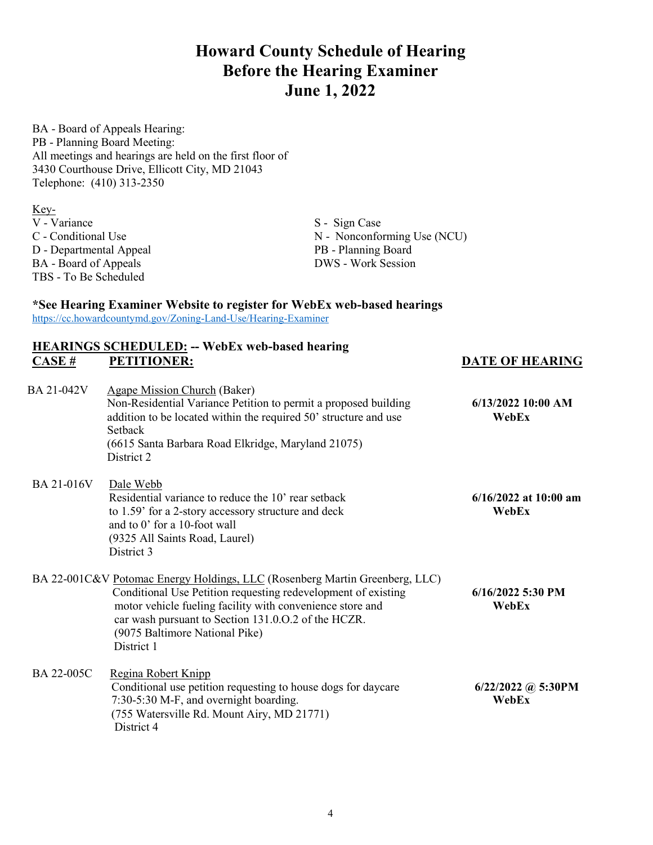**Howard County Schedule of Hearing Before the Hearing Examiner June 1, 2022**

BA - Board of Appeals Hearing: PB - Planning Board Meeting: All meetings and hearings are held on the first floor of 3430 Courthouse Drive, Ellicott City, MD 21043 Telephone: (410) 313-2350

Key-<br>V - Variance V - Variance S - Sign Case<br>
C - Conditional Use S - Sign Case<br>
N - Nonconform D - Departmental Appeal PB - Planning Board BA - Board of Appeals DWS - Work Session TBS - To Be Scheduled

N - Nonconforming Use (NCU)

### **\*See Hearing Examiner Website to register for WebEx web-based hearings**

<https://cc.howardcountymd.gov/Zoning-Land-Use/Hearing-Examiner>

### **HEARINGS SCHEDULED: -- WebEx web-based hearing CASE # PETITIONER: DATE OF HEARING**

| BA 21-042V | <b>Agape Mission Church (Baker)</b><br>Non-Residential Variance Petition to permit a proposed building<br>addition to be located within the required 50' structure and use<br><b>Setback</b><br>(6615 Santa Barbara Road Elkridge, Maryland 21075)<br>District 2                                                 | $6/13/2022$ 10:00 AM<br>WebEx      |
|------------|------------------------------------------------------------------------------------------------------------------------------------------------------------------------------------------------------------------------------------------------------------------------------------------------------------------|------------------------------------|
| BA 21-016V | Dale Webb<br>Residential variance to reduce the 10' rear setback<br>to 1.59' for a 2-story accessory structure and deck<br>and to 0' for a 10-foot wall<br>(9325 All Saints Road, Laurel)<br>District 3                                                                                                          | $6/16/2022$ at $10:00$ am<br>WebEx |
|            | BA 22-001C&V Potomac Energy Holdings, LLC (Rosenberg Martin Greenberg, LLC)<br>Conditional Use Petition requesting redevelopment of existing<br>motor vehicle fueling facility with convenience store and<br>car wash pursuant to Section 131.0.0.2 of the HCZR.<br>(9075 Baltimore National Pike)<br>District 1 | $6/16/2022$ 5:30 PM<br>WebEx       |
| BA 22-005C | Regina Robert Knipp<br>Conditional use petition requesting to house dogs for daycare<br>7:30-5:30 M-F, and overnight boarding.<br>(755 Watersville Rd. Mount Airy, MD 21771)<br>District 4                                                                                                                       | $6/22/2022$ @ 5:30PM<br>WebEx      |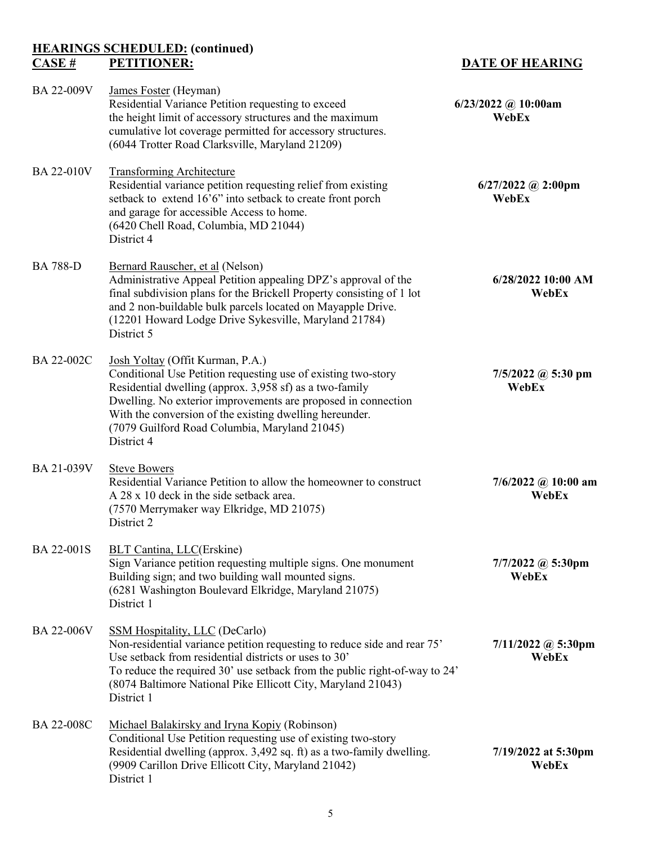# **HEARINGS SCHEDULED:** (continued)<br>CASE # PETITIONER:

BA 22-009V James Foster (Heyman)

|                 | cumulative lot coverage permitted for accessory structures.<br>(6044 Trotter Road Clarksville, Maryland 21209)                                                                                                                                                                                                                                          |                                |
|-----------------|---------------------------------------------------------------------------------------------------------------------------------------------------------------------------------------------------------------------------------------------------------------------------------------------------------------------------------------------------------|--------------------------------|
| BA 22-010V      | <b>Transforming Architecture</b><br>Residential variance petition requesting relief from existing<br>setback to extend 16'6" into setback to create front porch<br>and garage for accessible Access to home.<br>(6420 Chell Road, Columbia, MD 21044)<br>District 4                                                                                     | $6/27/2022$ @ 2:00pm<br>WebEx  |
| <b>BA 788-D</b> | Bernard Rauscher, et al (Nelson)<br>Administrative Appeal Petition appealing DPZ's approval of the<br>final subdivision plans for the Brickell Property consisting of 1 lot<br>and 2 non-buildable bulk parcels located on Mayapple Drive.<br>(12201 Howard Lodge Drive Sykesville, Maryland 21784)<br>District 5                                       | $6/28/2022$ 10:00 AM<br>WebEx  |
| BA 22-002C      | Josh Yoltay (Offit Kurman, P.A.)<br>Conditional Use Petition requesting use of existing two-story<br>Residential dwelling (approx. 3,958 sf) as a two-family<br>Dwelling. No exterior improvements are proposed in connection<br>With the conversion of the existing dwelling hereunder.<br>(7079 Guilford Road Columbia, Maryland 21045)<br>District 4 | $7/5/2022$ @ 5:30 pm<br>WebEx  |
| BA 21-039V      | <b>Steve Bowers</b><br>Residential Variance Petition to allow the homeowner to construct<br>A 28 x 10 deck in the side setback area.<br>(7570 Merrymaker way Elkridge, MD 21075)<br>District 2                                                                                                                                                          | $7/6/2022$ @ 10:00 am<br>WebEx |
| BA 22-001S      | <b>BLT Cantina, LLC(Erskine)</b><br>Sign Variance petition requesting multiple signs. One monument<br>Building sign; and two building wall mounted signs.<br>(6281 Washington Boulevard Elkridge, Maryland 21075)<br>District 1                                                                                                                         | $7/7/2022$ @ 5:30pm<br>WebEx   |
| BA 22-006V      | <b>SSM Hospitality, LLC (DeCarlo)</b><br>Non-residential variance petition requesting to reduce side and rear 75'<br>Use setback from residential districts or uses to 30'<br>To reduce the required 30' use setback from the public right-of-way to 24'<br>(8074 Baltimore National Pike Ellicott City, Maryland 21043)<br>District 1                  | $7/11/2022$ @ 5:30pm<br>WebEx  |
| BA 22-008C      | Michael Balakirsky and Iryna Kopiy (Robinson)<br>Conditional Use Petition requesting use of existing two-story<br>Residential dwelling (approx. 3,492 sq. ft) as a two-family dwelling.<br>(9909 Carillon Drive Ellicott City, Maryland 21042)<br>District 1                                                                                            | $7/19/2022$ at 5:30pm<br>WebEx |

Residential Variance Petition requesting to exceed 6/23/2022 @ 10:00am<br>the height limit of accessory structures and the maximum<br>WebEx

the height limit of accessory structures and the maximum

### **DATE OF HEARING**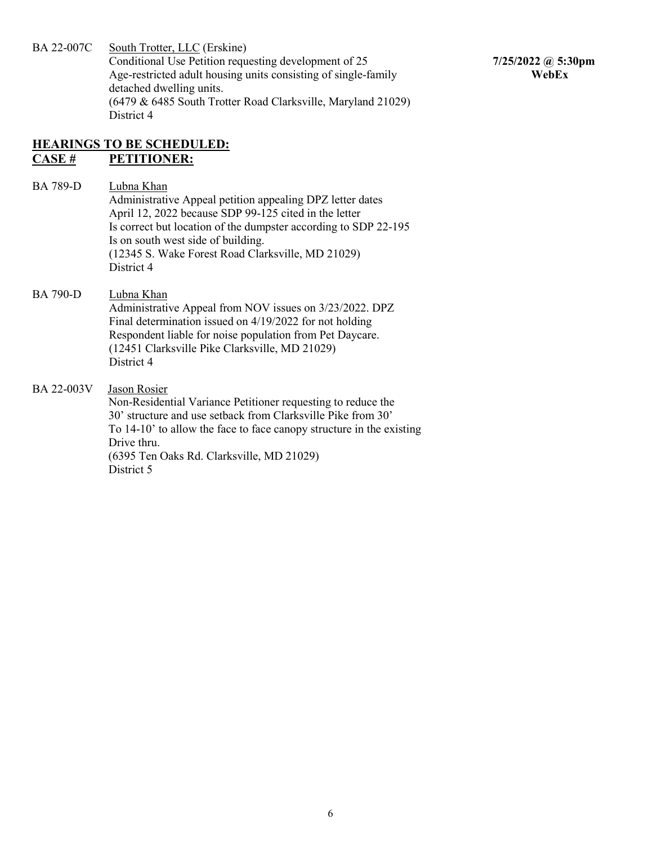BA 22-007C South Trotter, LLC (Erskine) Conditional Use Petition requesting development of 25 **7/25/2022 @ 5:30pm** Age-restricted adult housing units consisting of single-family **WebEx** detached dwelling units. (6479 & 6485 South Trotter Road Clarksville, Maryland 21029) District 4

### **HEARINGS TO BE SCHEDULED: CASE # PETITIONER:**

BA 789-D Lubna Khan Administrative Appeal petition appealing DPZ letter dates April 12, 2022 because SDP 99-125 cited in the letter Is correct but location of the dumpster according to SDP 22-195 Is on south west side of building. (12345 S. Wake Forest Road Clarksville, MD 21029) District 4

### BA 790-D Lubna Khan

 Administrative Appeal from NOV issues on 3/23/2022. DPZ Final determination issued on 4/19/2022 for not holding Respondent liable for noise population from Pet Daycare. (12451 Clarksville Pike Clarksville, MD 21029) District 4

### BA 22-003V Jason Rosier

 Non-Residential Variance Petitioner requesting to reduce the 30' structure and use setback from Clarksville Pike from 30' To 14-10' to allow the face to face canopy structure in the existing Drive thru. (6395 Ten Oaks Rd. Clarksville, MD 21029) District 5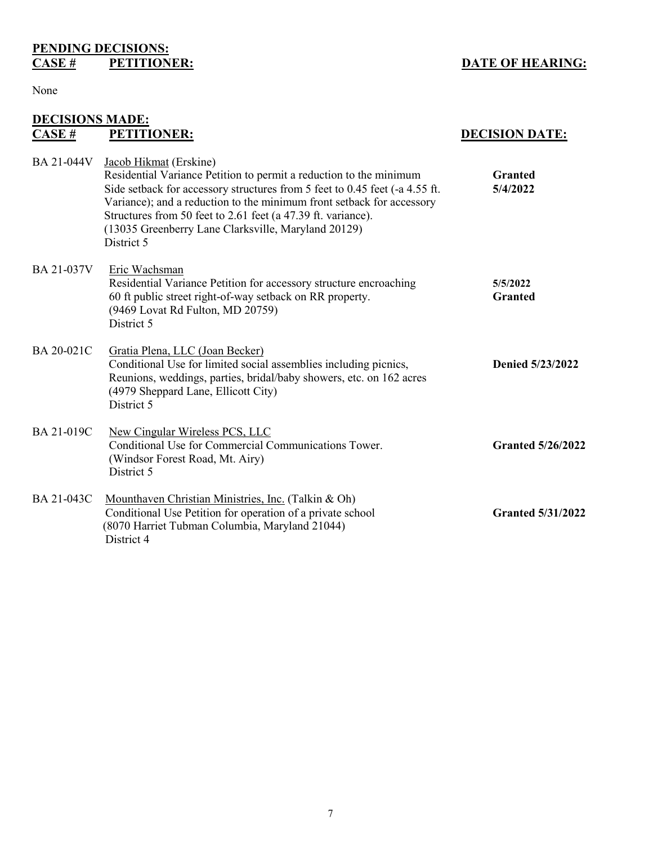# **PENDING DECISIONS:**<br>CASE # **PETITIONER:**

### **DATE OF HEARING:**

### None

# **DECISIONS MADE:**<br>CASE # **PETITI**

District 4

| CASE#             | <b>PETITIONER:</b>                                                                                                                                                                                                                                                                                                                                                                        | <b>DECISION DATE:</b>      |
|-------------------|-------------------------------------------------------------------------------------------------------------------------------------------------------------------------------------------------------------------------------------------------------------------------------------------------------------------------------------------------------------------------------------------|----------------------------|
| BA 21-044V        | Jacob Hikmat (Erskine)<br>Residential Variance Petition to permit a reduction to the minimum<br>Side setback for accessory structures from 5 feet to 0.45 feet (-a 4.55 ft.<br>Variance); and a reduction to the minimum front setback for accessory<br>Structures from 50 feet to 2.61 feet (a 47.39 ft. variance).<br>(13035 Greenberry Lane Clarksville, Maryland 20129)<br>District 5 | <b>Granted</b><br>5/4/2022 |
| BA 21-037V        | Eric Wachsman<br>Residential Variance Petition for accessory structure encroaching<br>60 ft public street right-of-way setback on RR property.<br>(9469 Lovat Rd Fulton, MD 20759)<br>District 5                                                                                                                                                                                          | 5/5/2022<br><b>Granted</b> |
| BA 20-021C        | Gratia Plena, LLC (Joan Becker)<br>Conditional Use for limited social assemblies including picnics,<br>Reunions, weddings, parties, bridal/baby showers, etc. on 162 acres<br>(4979 Sheppard Lane, Ellicott City)<br>District 5                                                                                                                                                           | Denied 5/23/2022           |
| <b>BA 21-019C</b> | New Cingular Wireless PCS, LLC<br>Conditional Use for Commercial Communications Tower.<br>(Windsor Forest Road, Mt. Airy)<br>District 5                                                                                                                                                                                                                                                   | <b>Granted 5/26/2022</b>   |
| BA 21-043C        | Mounthaven Christian Ministries, Inc. (Talkin & Oh)<br>Conditional Use Petition for operation of a private school                                                                                                                                                                                                                                                                         | <b>Granted 5/31/2022</b>   |

(8070 Harriet Tubman Columbia, Maryland 21044)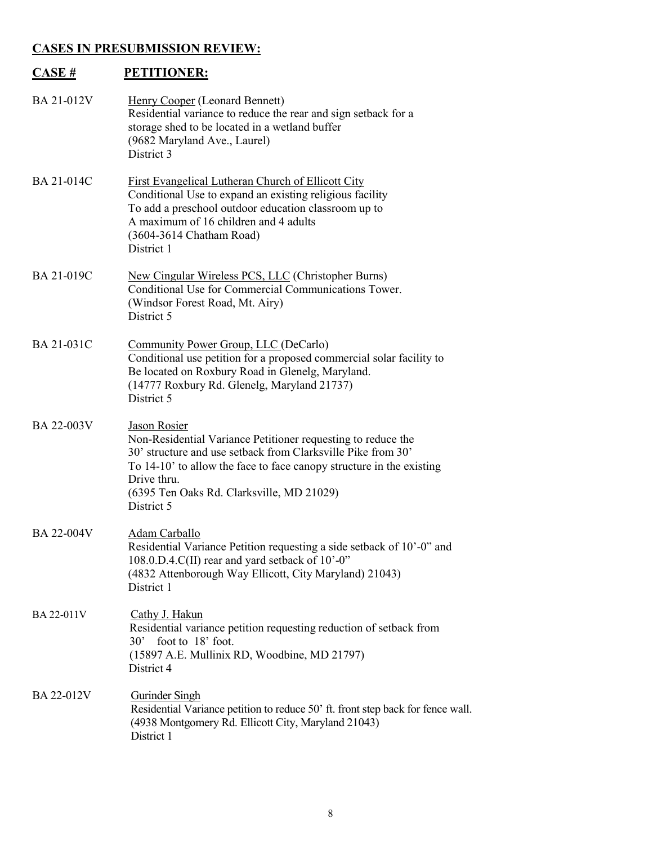### **CASES IN PRESUBMISSION REVIEW:**

| CASE#             | <b>PETITIONER:</b>                                                                                                                                                                                                                                                                                    |
|-------------------|-------------------------------------------------------------------------------------------------------------------------------------------------------------------------------------------------------------------------------------------------------------------------------------------------------|
| BA 21-012V        | Henry Cooper (Leonard Bennett)<br>Residential variance to reduce the rear and sign setback for a<br>storage shed to be located in a wetland buffer<br>(9682 Maryland Ave., Laurel)<br>District 3                                                                                                      |
| <b>BA 21-014C</b> | <b>First Evangelical Lutheran Church of Ellicott City</b><br>Conditional Use to expand an existing religious facility<br>To add a preschool outdoor education classroom up to<br>A maximum of 16 children and 4 adults<br>(3604-3614 Chatham Road)<br>District 1                                      |
| <b>BA 21-019C</b> | <b>New Cingular Wireless PCS, LLC (Christopher Burns)</b><br>Conditional Use for Commercial Communications Tower.<br>(Windsor Forest Road, Mt. Airy)<br>District 5                                                                                                                                    |
| BA 21-031C        | Community Power Group, LLC (DeCarlo)<br>Conditional use petition for a proposed commercial solar facility to<br>Be located on Roxbury Road in Glenelg, Maryland.<br>(14777 Roxbury Rd. Glenelg, Maryland 21737)<br>District 5                                                                         |
| BA 22-003V        | <b>Jason Rosier</b><br>Non-Residential Variance Petitioner requesting to reduce the<br>30' structure and use setback from Clarksville Pike from 30'<br>To 14-10' to allow the face to face canopy structure in the existing<br>Drive thru.<br>(6395 Ten Oaks Rd. Clarksville, MD 21029)<br>District 5 |
| <b>BA 22-004V</b> | <u> Adam Carballo</u><br>Residential Variance Petition requesting a side setback of 10'-0" and<br>108.0.D.4.C(II) rear and yard setback of 10'-0"<br>(4832 Attenborough Way Ellicott, City Maryland) 21043)<br>District 1                                                                             |
| BA 22-011V        | Cathy J. Hakun<br>Residential variance petition requesting reduction of setback from<br>30' foot to 18' foot.<br>(15897 A.E. Mullinix RD, Woodbine, MD 21797)<br>District 4                                                                                                                           |
| BA 22-012V        | Gurinder Singh<br>Residential Variance petition to reduce 50' ft. front step back for fence wall.<br>(4938 Montgomery Rd. Ellicott City, Maryland 21043)<br>District 1                                                                                                                                |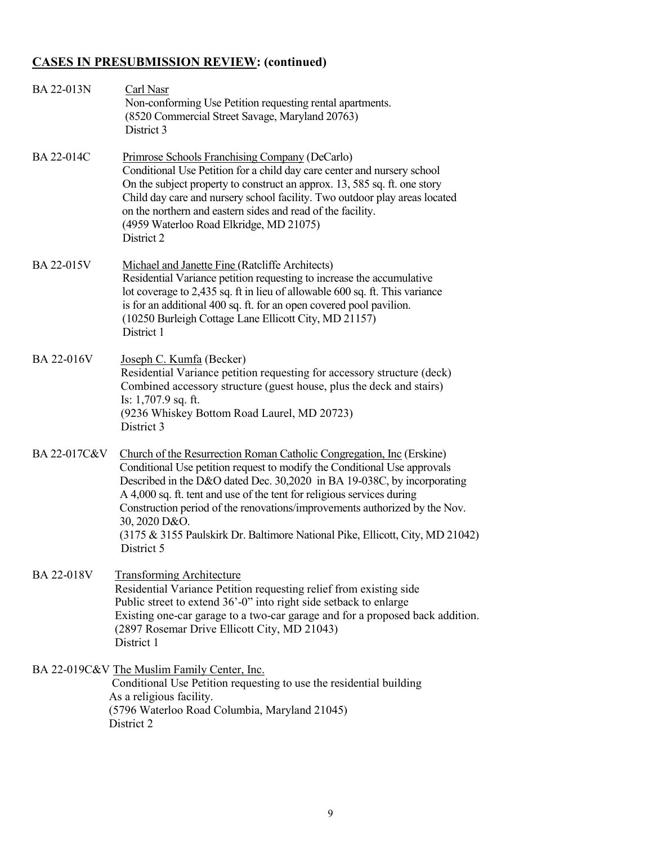## **CASES IN PRESUBMISSION REVIEW: (continued)**

| BA 22-013N   | Carl Nasr<br>Non-conforming Use Petition requesting rental apartments.<br>(8520 Commercial Street Savage, Maryland 20763)<br>District 3                                                                                                                                                                                                                                                                                                                                                              |
|--------------|------------------------------------------------------------------------------------------------------------------------------------------------------------------------------------------------------------------------------------------------------------------------------------------------------------------------------------------------------------------------------------------------------------------------------------------------------------------------------------------------------|
| BA 22-014C   | Primrose Schools Franchising Company (DeCarlo)<br>Conditional Use Petition for a child day care center and nursery school<br>On the subject property to construct an approx. 13, 585 sq. ft. one story<br>Child day care and nursery school facility. Two outdoor play areas located<br>on the northern and eastern sides and read of the facility.<br>(4959 Waterloo Road Elkridge, MD 21075)<br>District 2                                                                                         |
| BA 22-015V   | Michael and Janette Fine (Ratcliffe Architects)<br>Residential Variance petition requesting to increase the accumulative<br>lot coverage to 2,435 sq. ft in lieu of allowable 600 sq. ft. This variance<br>is for an additional 400 sq. ft. for an open covered pool pavilion.<br>(10250 Burleigh Cottage Lane Ellicott City, MD 21157)<br>District 1                                                                                                                                                |
| BA 22-016V   | Joseph C. Kumfa (Becker)<br>Residential Variance petition requesting for accessory structure (deck)<br>Combined accessory structure (guest house, plus the deck and stairs)<br>Is: 1,707.9 sq. ft.<br>(9236 Whiskey Bottom Road Laurel, MD 20723)<br>District 3                                                                                                                                                                                                                                      |
| BA 22-017C&V | Church of the Resurrection Roman Catholic Congregation, Inc (Erskine)<br>Conditional Use petition request to modify the Conditional Use approvals<br>Described in the D&O dated Dec. 30,2020 in BA 19-038C, by incorporating<br>A 4,000 sq. ft. tent and use of the tent for religious services during<br>Construction period of the renovations/improvements authorized by the Nov.<br>30, 2020 D&O.<br>(3175 & 3155 Paulskirk Dr. Baltimore National Pike, Ellicott, City, MD 21042)<br>District 5 |
| BA 22-018V   | <b>Transforming Architecture</b><br>Residential Variance Petition requesting relief from existing side<br>Public street to extend 36'-0" into right side setback to enlarge<br>Existing one-car garage to a two-car garage and for a proposed back addition.<br>(2897 Rosemar Drive Ellicott City, MD 21043)<br>District 1                                                                                                                                                                           |
|              | BA 22-019C&V The Muslim Family Center, Inc.<br>Conditional Use Petition requesting to use the residential building<br>As a religious facility.<br>(5796 Waterloo Road Columbia, Maryland 21045)<br>District 2                                                                                                                                                                                                                                                                                        |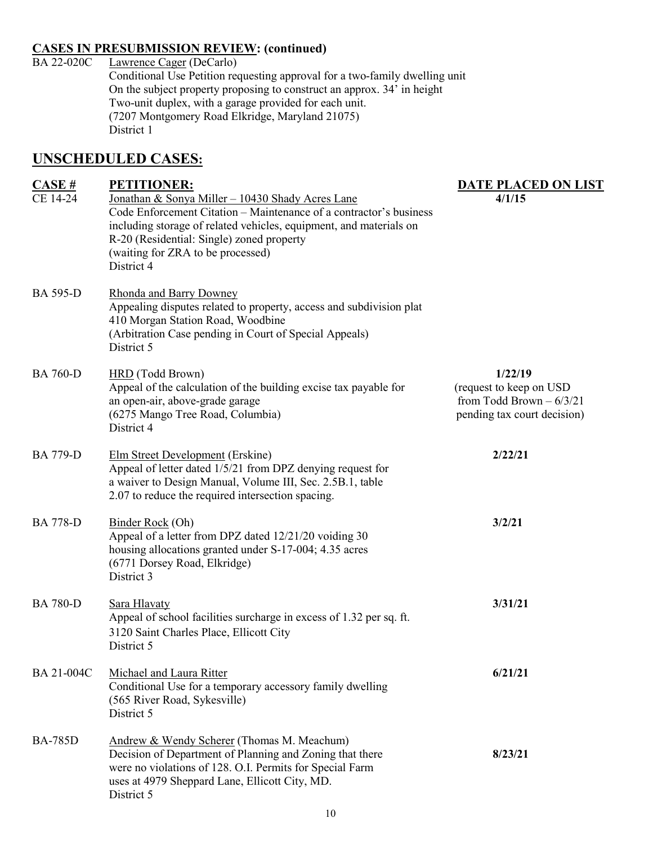# **CASES IN PRESUBMISSION REVIEW: (continued)**<br>BA 22-020C Lawrence Cager (DeCarlo)

Lawrence Cager (DeCarlo) Conditional Use Petition requesting approval for a two-family dwelling unit On the subject property proposing to construct an approx. 34' in height Two-unit duplex, with a garage provided for each unit. (7207 Montgomery Road Elkridge, Maryland 21075) District 1

### **UNSCHEDULED CASES:**

| CASE#           | <b>PETITIONER:</b>                                                                                                                                                                                                                                                                           | <b>DATE PLACED ON LIST</b>                                                                     |
|-----------------|----------------------------------------------------------------------------------------------------------------------------------------------------------------------------------------------------------------------------------------------------------------------------------------------|------------------------------------------------------------------------------------------------|
| CE 14-24        | Jonathan & Sonya Miller - 10430 Shady Acres Lane<br>Code Enforcement Citation – Maintenance of a contractor's business<br>including storage of related vehicles, equipment, and materials on<br>R-20 (Residential: Single) zoned property<br>(waiting for ZRA to be processed)<br>District 4 | 4/1/15                                                                                         |
| <b>BA 595-D</b> | <b>Rhonda and Barry Downey</b><br>Appealing disputes related to property, access and subdivision plat<br>410 Morgan Station Road, Woodbine<br>(Arbitration Case pending in Court of Special Appeals)<br>District 5                                                                           |                                                                                                |
| <b>BA 760-D</b> | <b>HRD</b> (Todd Brown)<br>Appeal of the calculation of the building excise tax payable for<br>an open-air, above-grade garage<br>(6275 Mango Tree Road, Columbia)<br>District 4                                                                                                             | 1/22/19<br>(request to keep on USD<br>from Todd Brown $-6/3/21$<br>pending tax court decision) |
| <b>BA 779-D</b> | <b>Elm Street Development (Erskine)</b><br>Appeal of letter dated 1/5/21 from DPZ denying request for<br>a waiver to Design Manual, Volume III, Sec. 2.5B.1, table<br>2.07 to reduce the required intersection spacing.                                                                      | 2/22/21                                                                                        |
| <b>BA 778-D</b> | <b>Binder Rock</b> (Oh)<br>Appeal of a letter from DPZ dated 12/21/20 voiding 30<br>housing allocations granted under S-17-004; 4.35 acres<br>(6771 Dorsey Road, Elkridge)<br>District 3                                                                                                     | 3/2/21                                                                                         |
| <b>BA 780-D</b> | Sara Hlavaty<br>Appeal of school facilities surcharge in excess of 1.32 per sq. ft.<br>3120 Saint Charles Place, Ellicott City<br>District 5                                                                                                                                                 | 3/31/21                                                                                        |
| BA 21-004C      | Michael and Laura Ritter<br>Conditional Use for a temporary accessory family dwelling<br>(565 River Road, Sykesville)<br>District 5                                                                                                                                                          | 6/21/21                                                                                        |
| <b>BA-785D</b>  | Andrew & Wendy Scherer (Thomas M. Meachum)<br>Decision of Department of Planning and Zoning that there<br>were no violations of 128. O.I. Permits for Special Farm<br>uses at 4979 Sheppard Lane, Ellicott City, MD.<br>District 5                                                           | 8/23/21                                                                                        |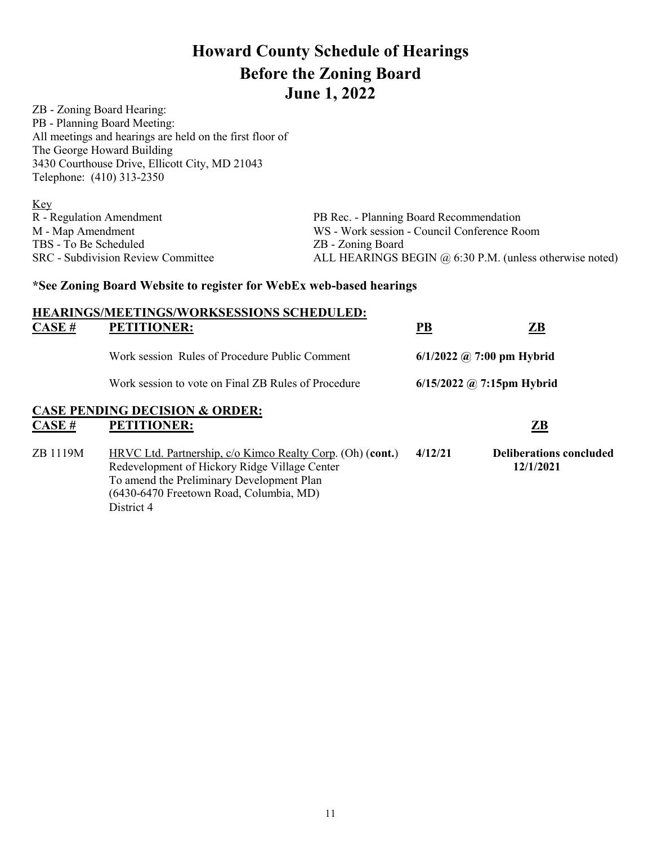# **Howard County Schedule of Hearings Before the Zoning Board June 1, 2022**

ZB - Zoning Board Hearing: PB - Planning Board Meeting: All meetings and hearings are held on the first floor of The George Howard Building 3430 Courthouse Drive, Ellicott City, MD 21043 Telephone: (410) 313-2350

| <u>Key</u>                                |                                                           |
|-------------------------------------------|-----------------------------------------------------------|
| R - Regulation Amendment                  | PB Rec. - Planning Board Recommendation                   |
| M - Map Amendment                         | WS - Work session - Council Conference Room               |
| TBS - To Be Scheduled                     | ZB - Zoning Board                                         |
| <b>SRC</b> - Subdivision Review Committee | ALL HEARINGS BEGIN $@$ 6:30 P.M. (unless otherwise noted) |

### **\*See Zoning Board Website to register for WebEx web-based hearings**

| CASE#    | <b>HEARINGS/MEETINGS/WORKSESSIONS SCHEDULED:</b><br><b>PETITIONER:</b>                                                                                                                                            | $\underline{\mathbf{PB}}$   | $\mathbf{Z}\mathbf{B}$                      |
|----------|-------------------------------------------------------------------------------------------------------------------------------------------------------------------------------------------------------------------|-----------------------------|---------------------------------------------|
|          |                                                                                                                                                                                                                   |                             |                                             |
|          | Work session Rules of Procedure Public Comment                                                                                                                                                                    |                             | $6/1/2022$ @ 7:00 pm Hybrid                 |
|          | Work session to vote on Final ZB Rules of Procedure                                                                                                                                                               | $6/15/2022$ @ 7:15pm Hybrid |                                             |
| CASE #   | <b>CASE PENDING DECISION &amp; ORDER:</b><br><b>PETITIONER:</b>                                                                                                                                                   |                             | ZB                                          |
| ZB 1119M | HRVC Ltd. Partnership, c/o Kimco Realty Corp. (Oh) (cont.)<br>Redevelopment of Hickory Ridge Village Center<br>To amend the Preliminary Development Plan<br>(6430-6470 Freetown Road, Columbia, MD)<br>District 4 | 4/12/21                     | <b>Deliberations concluded</b><br>12/1/2021 |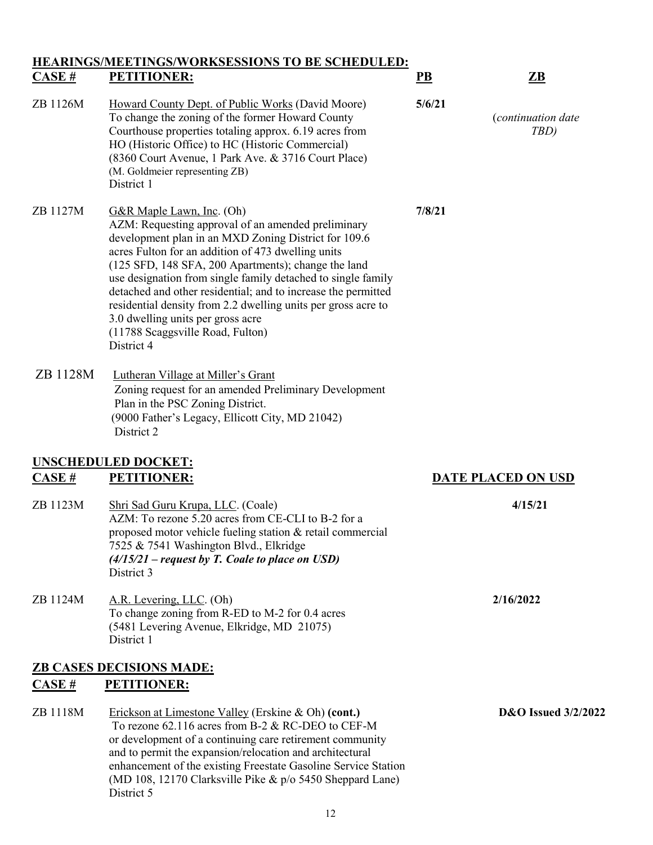### **HEARINGS/MEETINGS/WORKSESSIONS TO BE SCHEDULED: CASE # PETITIONER: PB ZB**

## ZB 1126M Howard County Dept. of Public Works (David Moore) **5/6/21**  To change the zoning of the former Howard County (*continuation date* Courthouse properties totaling approx. 6.19 acres from *TBD)* HO (Historic Office) to HC (Historic Commercial) (8360 Court Avenue, 1 Park Ave. & 3716 Court Place) (M. Goldmeier representing ZB) District 1

ZB 1127M G&R Maple Lawn, Inc. (Oh) **7/8/21** AZM: Requesting approval of an amended preliminary development plan in an MXD Zoning District for 109.6 acres Fulton for an addition of 473 dwelling units (125 SFD, 148 SFA, 200 Apartments); change the land use designation from single family detached to single family detached and other residential; and to increase the permitted residential density from 2.2 dwelling units per gross acre to 3.0 dwelling units per gross acre (11788 Scaggsville Road, Fulton) District 4

### ZB 1128M Lutheran Village at Miller's Grant Zoning request for an amended Preliminary Development Plan in the PSC Zoning District. (9000 Father's Legacy, Ellicott City, MD 21042) District 2

### **UNSCHEDULED DOCKET: CASE # PETITIONER: DATE PLACED ON USD**

- ZB 1123M Shri Sad Guru Krupa, LLC. (Coale) **4/15/21** AZM: To rezone 5.20 acres from CE-CLI to B-2 for a proposed motor vehicle fueling station & retail commercial 7525 & 7541 Washington Blvd., Elkridge *(4/15/21 – request by T. Coale to place on USD)* District 3
- ZB 1124M A.R. Levering, LLC. (Oh) **2/16/2022** To change zoning from R-ED to M-2 for 0.4 acres (5481 Levering Avenue, Elkridge, MD 21075) District 1

### **ZB CASES DECISIONS MADE: CASE # PETITIONER:**

ZB 1118M Erickson at Limestone Valley (Erskine & Oh) **(cont.) D&O Issued 3/2/2022** To rezone 62.116 acres from B-2 & RC-DEO to CEF-M or development of a continuing care retirement community and to permit the expansion/relocation and architectural enhancement of the existing Freestate Gasoline Service Station (MD 108, 12170 Clarksville Pike & p/o 5450 Sheppard Lane) District 5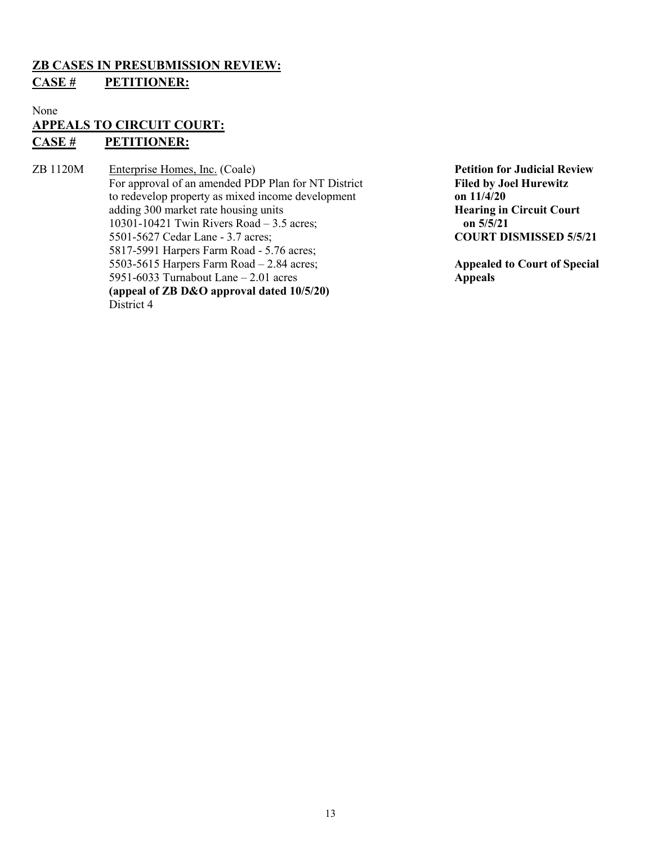### **ZB CASES IN PRESUBMISSION REVIEW:**

### **CASE # PETITIONER:**

None

### **APPEALS TO CIRCUIT COURT: CASE # PETITIONER:**

ZB 1120M Enterprise Homes, Inc. (Coale) **Petition for Judicial Review** For approval of an amended PDP Plan for NT District **Filed by Joel Hurewitz**  to redevelop property as mixed income development **on 11/4/20** adding 300 market rate housing units<br>
10301-10421 Twin Rivers Road – 3.5 acres:<br> **Hearing in Circuit Court**<br> **on 5/5/21** 10301-10421 Twin Rivers Road – 3.5 acres; 5501-5627 Cedar Lane - 3.7 acres; **COURT DISMISSED 5/5/21** 5817-5991 Harpers Farm Road - 5.76 acres; 5503-5615 Harpers Farm Road – 2.84 acres;<br>5951-6033 Turnabout Lane – 2.01 acres **Appealed to Court of Special** 5951-6033 Turnabout Lane – 2.01 acres **(appeal of ZB D&O approval dated 10/5/20)**  District 4